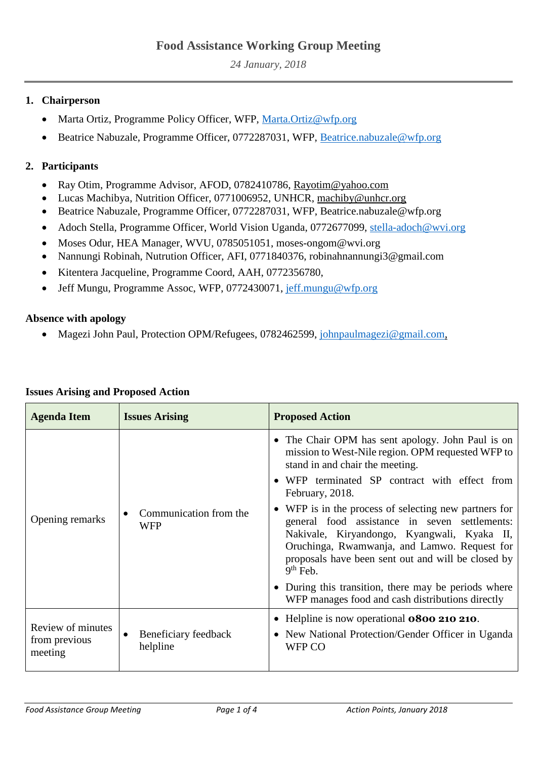# **Food Assistance Working Group Meeting**

*24 January, 2018*

### **1. Chairperson**

- Marta Ortiz, Programme Policy Officer, WFP, [Marta.Ortiz@wfp.org](mailto:Marta.Ortiz@wfp.org)
- Beatrice Nabuzale, Programme Officer, 0772287031, WFP, [Beatrice.nabuzale@wfp.org](mailto:Beatrice.nabuzale@wfp.org)

## **2. Participants**

- Ray Otim, Programme Advisor, AFOD, 0782410786, [Rayotim@yahoo.com](mailto:Rayotim@yahoo.com)
- Lucas Machibya, Nutrition Officer, 0771006952, UNHCR, [machiby@unhcr.org](mailto:machiby@unhcr.org)
- Beatrice Nabuzale, Programme Officer, 0772287031, WFP, Beatrice.nabuzale@wfp.org
- Adoch Stella, Programme Officer, World Vision Uganda, 0772677099, [stella-adoch@wvi.org](mailto:stella-adoch@wvi.org)
- Moses Odur, HEA Manager, WVU, 0785051051, moses-ongom@wvi.org
- Nannungi Robinah, Nutrution Officer, AFI, 0771840376, robinahnannungi3@gmail.com
- Kitentera Jacqueline, Programme Coord, AAH, 0772356780,
- Jeff Mungu, Programme Assoc, WFP, 0772430071, [jeff.mungu@wfp.org](mailto:jeff.mungu@wfp.org)

#### **Absence with apology**

• Magezi John Paul, Protection OPM/Refugees, 0782462599, [johnpaulmagezi@gmail.com,](mailto:johnpaulmagezi@gmail.com)

| <b>Agenda Item</b>                            | <b>Issues Arising</b>                 | <b>Proposed Action</b>                                                                                                                                                                                                                                                                                                                                                                                                                                                                                                                                                                                 |
|-----------------------------------------------|---------------------------------------|--------------------------------------------------------------------------------------------------------------------------------------------------------------------------------------------------------------------------------------------------------------------------------------------------------------------------------------------------------------------------------------------------------------------------------------------------------------------------------------------------------------------------------------------------------------------------------------------------------|
| Opening remarks                               | Communication from the<br>WFP         | • The Chair OPM has sent apology. John Paul is on<br>mission to West-Nile region. OPM requested WFP to<br>stand in and chair the meeting.<br>• WFP terminated SP contract with effect from<br>February, 2018.<br>• WFP is in the process of selecting new partners for<br>general food assistance in seven settlements:<br>Nakivale, Kiryandongo, Kyangwali, Kyaka II,<br>Oruchinga, Rwamwanja, and Lamwo. Request for<br>proposals have been sent out and will be closed by<br>$9th$ Feb.<br>• During this transition, there may be periods where<br>WFP manages food and cash distributions directly |
| Review of minutes<br>from previous<br>meeting | Beneficiary feedback<br>٠<br>helpline | • Helpline is now operational <b>0800 210 210</b> .<br>• New National Protection/Gender Officer in Uganda<br>WFP CO                                                                                                                                                                                                                                                                                                                                                                                                                                                                                    |

#### **Issues Arising and Proposed Action**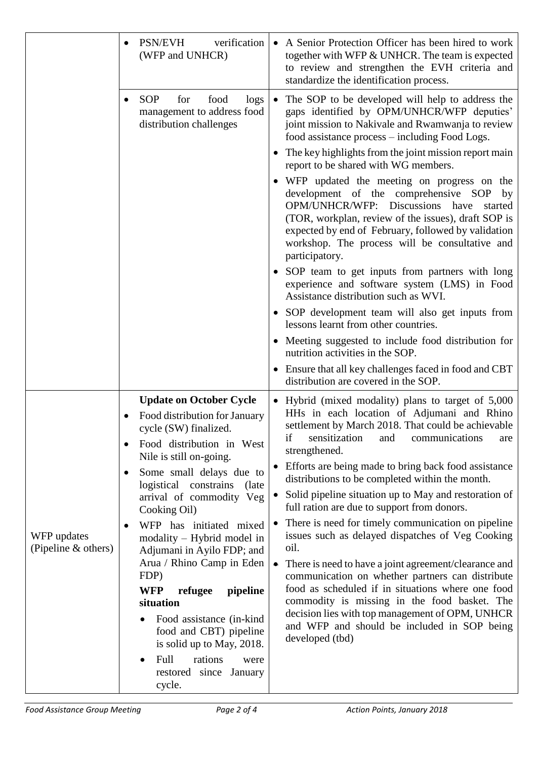|                                    | PSN/EVH<br>verification<br>(WFP and UNHCR)                                                                            | • A Senior Protection Officer has been hired to work<br>together with WFP & UNHCR. The team is expected<br>to review and strengthen the EVH criteria and<br>standardize the identification process.                                                                                                                     |
|------------------------------------|-----------------------------------------------------------------------------------------------------------------------|-------------------------------------------------------------------------------------------------------------------------------------------------------------------------------------------------------------------------------------------------------------------------------------------------------------------------|
|                                    | <b>SOP</b><br>for<br>food<br>logs<br>$\bullet$<br>management to address food<br>distribution challenges               | The SOP to be developed will help to address the<br>$\bullet$<br>gaps identified by OPM/UNHCR/WFP deputies'<br>joint mission to Nakivale and Rwamwanja to review<br>food assistance process – including Food Logs.                                                                                                      |
|                                    |                                                                                                                       | • The key highlights from the joint mission report main<br>report to be shared with WG members.                                                                                                                                                                                                                         |
|                                    |                                                                                                                       | • WFP updated the meeting on progress on the<br>development of the comprehensive SOP by<br>OPM/UNHCR/WFP: Discussions have<br>started<br>(TOR, workplan, review of the issues), draft SOP is<br>expected by end of February, followed by validation<br>workshop. The process will be consultative and<br>participatory. |
|                                    |                                                                                                                       | • SOP team to get inputs from partners with long<br>experience and software system (LMS) in Food<br>Assistance distribution such as WVI.                                                                                                                                                                                |
|                                    |                                                                                                                       | SOP development team will also get inputs from<br>$\bullet$<br>lessons learnt from other countries.                                                                                                                                                                                                                     |
|                                    |                                                                                                                       | • Meeting suggested to include food distribution for<br>nutrition activities in the SOP.                                                                                                                                                                                                                                |
|                                    |                                                                                                                       | • Ensure that all key challenges faced in food and CBT<br>distribution are covered in the SOP.                                                                                                                                                                                                                          |
|                                    | <b>Update on October Cycle</b><br>Food distribution for January<br>cycle (SW) finalized.<br>Food distribution in West | • Hybrid (mixed modality) plans to target of 5,000<br>HHs in each location of Adjumani and Rhino<br>settlement by March 2018. That could be achievable<br>if sensitization and communications are<br>strengthened.                                                                                                      |
|                                    | Nile is still on-going.<br>Some small delays due to<br>$\bullet$<br>logistical constrains<br>(late)                   | • Efforts are being made to bring back food assistance<br>distributions to be completed within the month.                                                                                                                                                                                                               |
| WFP updates<br>(Pipeline & others) | arrival of commodity Veg<br>Cooking Oil)                                                                              | Solid pipeline situation up to May and restoration of<br>$\bullet$<br>full ration are due to support from donors.                                                                                                                                                                                                       |
|                                    | WFP has initiated mixed<br>$\bullet$<br>modality - Hybrid model in<br>Adjumani in Ayilo FDP; and                      | There is need for timely communication on pipeline<br>$\bullet$<br>issues such as delayed dispatches of Veg Cooking<br>oil.                                                                                                                                                                                             |
|                                    | Arua / Rhino Camp in Eden<br>FDP)<br><b>WFP</b><br>refugee<br>pipeline<br>situation                                   | There is need to have a joint agreement/clearance and<br>$\bullet$<br>communication on whether partners can distribute<br>food as scheduled if in situations where one food<br>commodity is missing in the food basket. The                                                                                             |
|                                    | Food assistance (in-kind)<br>food and CBT) pipeline<br>is solid up to May, 2018.                                      | decision lies with top management of OPM, UNHCR<br>and WFP and should be included in SOP being<br>developed (tbd)                                                                                                                                                                                                       |
|                                    | Full<br>rations<br>were<br>restored since January<br>cycle.                                                           |                                                                                                                                                                                                                                                                                                                         |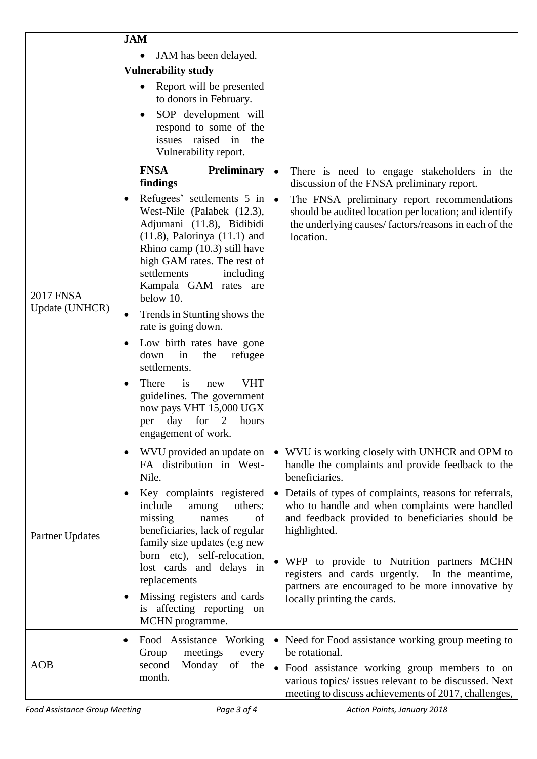|                                    | <b>JAM</b>                                                                                                                                                                                                                                                    |                                                                                                                                                                                        |
|------------------------------------|---------------------------------------------------------------------------------------------------------------------------------------------------------------------------------------------------------------------------------------------------------------|----------------------------------------------------------------------------------------------------------------------------------------------------------------------------------------|
|                                    | JAM has been delayed.                                                                                                                                                                                                                                         |                                                                                                                                                                                        |
|                                    | <b>Vulnerability study</b>                                                                                                                                                                                                                                    |                                                                                                                                                                                        |
|                                    | Report will be presented<br>to donors in February.                                                                                                                                                                                                            |                                                                                                                                                                                        |
|                                    | SOP development will<br>respond to some of the<br>issues raised in<br>the<br>Vulnerability report.                                                                                                                                                            |                                                                                                                                                                                        |
|                                    | <b>FNSA</b><br><b>Preliminary</b><br>findings                                                                                                                                                                                                                 | There is need to engage stakeholders in the<br>$\bullet$<br>discussion of the FNSA preliminary report.                                                                                 |
| <b>2017 FNSA</b><br>Update (UNHCR) | Refugees' settlements 5 in<br>West-Nile (Palabek (12.3),<br>Adjumani (11.8), Bidibidi<br>$(11.8)$ , Palorinya $(11.1)$ and<br>Rhino camp $(10.3)$ still have<br>high GAM rates. The rest of<br>settlements<br>including<br>Kampala GAM rates are<br>below 10. | The FNSA preliminary report recommendations<br>$\bullet$<br>should be audited location per location; and identify<br>the underlying causes/factors/reasons in each of the<br>location. |
|                                    | Trends in Stunting shows the<br>٠<br>rate is going down.                                                                                                                                                                                                      |                                                                                                                                                                                        |
|                                    | Low birth rates have gone<br>$\bullet$<br>down<br>in<br>refugee<br>the<br>settlements.                                                                                                                                                                        |                                                                                                                                                                                        |
|                                    | is<br><b>VHT</b><br>There<br>new<br>٠<br>guidelines. The government<br>now pays VHT 15,000 UGX<br>day<br>for<br>hours<br>per<br>engagement of work.                                                                                                           |                                                                                                                                                                                        |
| <b>Partner Updates</b>             | WVU provided an update on<br>$\bullet$<br>FA distribution in West-<br>Nile.                                                                                                                                                                                   | • WVU is working closely with UNHCR and OPM to<br>handle the complaints and provide feedback to the<br>beneficiaries.                                                                  |
|                                    | Key complaints registered<br>include<br>others:<br>among<br>missing<br>of<br>names<br>beneficiaries, lack of regular<br>family size updates (e.g new                                                                                                          | • Details of types of complaints, reasons for referrals,<br>who to handle and when complaints were handled<br>and feedback provided to beneficiaries should be<br>highlighted.         |
|                                    | born etc), self-relocation,<br>lost cards and delays in<br>replacements<br>Missing registers and cards<br>is affecting reporting on<br>MCHN programme.                                                                                                        | • WFP to provide to Nutrition partners MCHN<br>registers and cards urgently. In the meantime,<br>partners are encouraged to be more innovative by<br>locally printing the cards.       |
| <b>AOB</b>                         | Food Assistance Working<br>$\bullet$<br>Group<br>meetings<br>every                                                                                                                                                                                            | • Need for Food assistance working group meeting to<br>be rotational.                                                                                                                  |
|                                    | Monday of the<br>second<br>month.                                                                                                                                                                                                                             | • Food assistance working group members to on<br>various topics/ issues relevant to be discussed. Next<br>meeting to discuss achievements of 2017, challenges,                         |